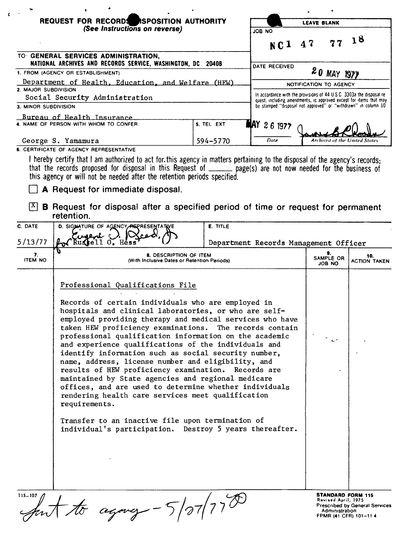|                                                                                                              | REQUEST FOR RECORDS ASPOSITION AUTHORITY                                                                                                                                                                                                                                                                                                                                                                                                                                                                                                                                                                                                                                                                                                                                                                                                                           |                 | <b>LEAVE BLANK</b>                                                                                                                                                    |                                                                   |                                                                 |  |
|--------------------------------------------------------------------------------------------------------------|--------------------------------------------------------------------------------------------------------------------------------------------------------------------------------------------------------------------------------------------------------------------------------------------------------------------------------------------------------------------------------------------------------------------------------------------------------------------------------------------------------------------------------------------------------------------------------------------------------------------------------------------------------------------------------------------------------------------------------------------------------------------------------------------------------------------------------------------------------------------|-----------------|-----------------------------------------------------------------------------------------------------------------------------------------------------------------------|-------------------------------------------------------------------|-----------------------------------------------------------------|--|
|                                                                                                              | (See Instructions on reverse)                                                                                                                                                                                                                                                                                                                                                                                                                                                                                                                                                                                                                                                                                                                                                                                                                                      |                 | ON 80L<br>NC1 47                                                                                                                                                      |                                                                   | 77 18                                                           |  |
|                                                                                                              | TO GENERAL SERVICES ADMINISTRATION,<br>NATIONAL ARCHIVES AND RECORDS SERVICE, WASHINGTON, DC 20408                                                                                                                                                                                                                                                                                                                                                                                                                                                                                                                                                                                                                                                                                                                                                                 |                 | DATE RECEIVED                                                                                                                                                         |                                                                   |                                                                 |  |
| 1. FROM (AGENCY OR ESTABLISHMENT)                                                                            |                                                                                                                                                                                                                                                                                                                                                                                                                                                                                                                                                                                                                                                                                                                                                                                                                                                                    |                 |                                                                                                                                                                       | 20 MAY 1977                                                       |                                                                 |  |
| Department of Health, Education, and Welfare (HEW)<br>2. MAJOR SUBDIVISION<br>Social Security Administration |                                                                                                                                                                                                                                                                                                                                                                                                                                                                                                                                                                                                                                                                                                                                                                                                                                                                    |                 | NOTIFICATION TO AGENCY<br>In accordance with the provisions of 44 U.S.C. 3303a the disposal re-<br>quest, including amendments, is approved except for items that may |                                                                   |                                                                 |  |
| 3. MINOR SUBDIVISION                                                                                         |                                                                                                                                                                                                                                                                                                                                                                                                                                                                                                                                                                                                                                                                                                                                                                                                                                                                    |                 | be stamped "disposal not approved" or "withdrawn" in column 10                                                                                                        |                                                                   |                                                                 |  |
| Bureau of Health Insurance                                                                                   |                                                                                                                                                                                                                                                                                                                                                                                                                                                                                                                                                                                                                                                                                                                                                                                                                                                                    |                 |                                                                                                                                                                       |                                                                   |                                                                 |  |
|                                                                                                              | 4. NAME OF PERSON WITH WHOM TO CONFER                                                                                                                                                                                                                                                                                                                                                                                                                                                                                                                                                                                                                                                                                                                                                                                                                              | 5. TEL EXT.     | <b>MAY 26 1977</b>                                                                                                                                                    |                                                                   |                                                                 |  |
| George S. Yamamura<br>594-5770<br>6. CERTIFICATE OF AGENCY REPRESENTATIVE                                    |                                                                                                                                                                                                                                                                                                                                                                                                                                                                                                                                                                                                                                                                                                                                                                                                                                                                    |                 | Date                                                                                                                                                                  | Archivist of the United States                                    |                                                                 |  |
| X <br>C. DATE                                                                                                | that the records proposed for disposal in this Request of _____ page(s) are not now needed for the business of<br>this agency or will not be needed after the retention periods specified.<br>A Request for immediate disposal.<br><b>B</b> Request for disposal after a specified period of time or request for permanent<br>retention.<br>D. SIGNATURE OF AGENCY REPRESENTATIVE<br>Cusent                                                                                                                                                                                                                                                                                                                                                                                                                                                                        | <b>E. TITLE</b> |                                                                                                                                                                       |                                                                   |                                                                 |  |
| 5/13/77                                                                                                      | WRUSsell 0. Hess                                                                                                                                                                                                                                                                                                                                                                                                                                                                                                                                                                                                                                                                                                                                                                                                                                                   |                 | Department Records Management Officer                                                                                                                                 |                                                                   |                                                                 |  |
| 7.<br><b>ITEM NO</b>                                                                                         | 8. DESCRIPTION OF ITEM<br>(With Inclusive Dates or Retention Periods)                                                                                                                                                                                                                                                                                                                                                                                                                                                                                                                                                                                                                                                                                                                                                                                              |                 |                                                                                                                                                                       | 9.<br>SAMPLE OR<br>JOB NO.                                        | 10.<br><b>ACTION TAKEN</b>                                      |  |
|                                                                                                              | Professional Qualifications File<br>Records of certain individuals who are employed in<br>hospitals and clinical laboratories, or who are self-<br>employed providing therapy and medical services who have<br>taken HEW proficiency examinations. The records contain<br>professional qualification information on the academic<br>and experience qualifications of the individuals and<br>identify information such as social security number,<br>name, address, license number and eligibility, and<br>results of HEW proficiency examination. Records are<br>maintained by State agencies and regional medicare<br>offices, and are used to determine whether individuals<br>rendering health care services meet qualification<br>requirements.<br>Transfer to an inactive file upon termination of<br>individual's participation. Destroy 5 years thereafter. |                 |                                                                                                                                                                       | اسمعية                                                            |                                                                 |  |
| $115 - 107$                                                                                                  | $c_{\text{tgong}} - 5/27/770$                                                                                                                                                                                                                                                                                                                                                                                                                                                                                                                                                                                                                                                                                                                                                                                                                                      |                 |                                                                                                                                                                       | <b>STANDARD FORM 115</b><br>Revised April, 1975<br>Administration | <b>Prescribed by General Services</b><br>FPMR (41 CFR) 101-11 4 |  |

 $\pmb{\epsilon}$